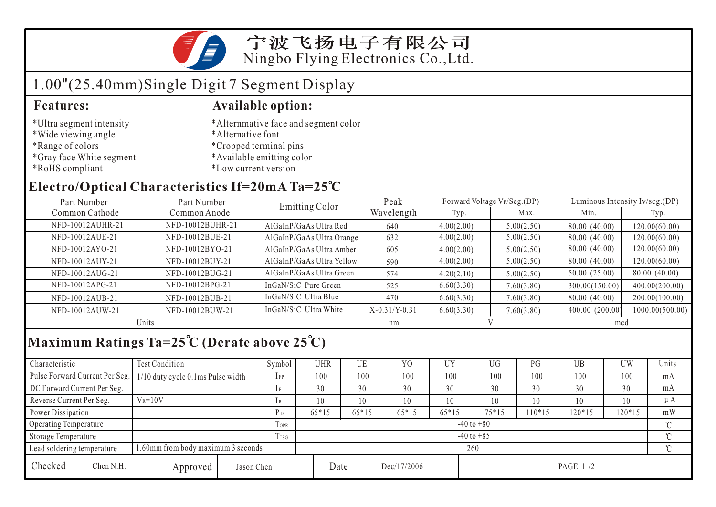

## 1.00"(25.40mm)Single Digit 7 Segment Display

- \*Ultra segment intensity
- \*Wide viewing angle
- \*Range of colors
- \*Gray face White segment
- \*RoHS compliant

#### **Features: Available option:**

- \*Alternmative face and segment color
- \*Alternative font
- \*Cropped terminal pins
- \*Available emitting color
- \*Low current version

### **Electro/Optical Characteristics If=20mA Ta=25 C**

| Part Number      | Part Number      |                           | Peak            |            | Forward Voltage VF/Seg.(DP) | Luminous Intensity Iv/seg.(DP) |                 |  |
|------------------|------------------|---------------------------|-----------------|------------|-----------------------------|--------------------------------|-----------------|--|
| Common Cathode   | Common Anode     | Emitting Color            | Wavelength      | Typ.       | Max.                        | Min.                           | Typ.            |  |
| NFD-10012AUHR-21 | NFD-10012BUHR-21 | AlGaInP/GaAs Ultra Red    | 640             | 4.00(2.00) | 5.00(2.50)                  | 80.00 (40.00)                  | 120.00(60.00)   |  |
| NFD-10012AUE-21  | NFD-10012BUE-21  | AlGaInP/GaAs Ultra Orange | 632             | 4.00(2.00) | 5.00(2.50)                  | 80.00 (40.00)                  | 120.00(60.00)   |  |
| NFD-10012AYO-21  | NFD-10012BYO-21  | AlGaInP/GaAs Ultra Amber  | 605             | 4.00(2.00) | 5.00(2.50)                  | 80.00 (40.00)                  | 120.00(60.00)   |  |
| NFD-10012AUY-21  | NFD-10012BUY-21  | AlGaInP/GaAs Ultra Yellow | 590             | 4.00(2.00) | 5.00(2.50)                  | 80.00 (40.00)                  | 120.00(60.00)   |  |
| NFD-10012AUG-21  | NFD-10012BUG-21  | AlGaInP/GaAs Ultra Green  | 574             | 4.20(2.10) | 5.00(2.50)                  | 50.00(25.00)                   | 80.00 (40.00)   |  |
| NFD-10012APG-21  | NFD-10012BPG-21  | InGaN/SiC Pure Green      | 525             | 6.60(3.30) | 7.60(3.80)                  | 300.00(150.00)                 | 400.00(200.00)  |  |
| NFD-10012AUB-21  | NFD-10012BUB-21  | InGaN/SiC Ultra Blue      | 470             | 6.60(3.30) | 7.60(3.80)                  | 80.00 (40.00)                  | 200.00(100.00)  |  |
| NFD-10012AUW-21  | NFD-10012BUW-21  | InGaN/SiC Ultra White     | $X-0.31/Y-0.31$ | 6.60(3.30) | 7.60(3.80)                  | 400.00 (200.00)                | 1000.00(500.00) |  |
| Units            |                  |                           | nm              |            |                             | mcd                            |                 |  |

## **Maximum Ratings Ta=25 C (Derate above 25 C)**

| Characteristic                                                  |                                | Test Condition                    |                |                | Symbol  | UHR  | UE          |         | Y <sub>0</sub> | UY        | UG     | PG     | UB       | <b>UW</b> | Units |
|-----------------------------------------------------------------|--------------------------------|-----------------------------------|----------------|----------------|---------|------|-------------|---------|----------------|-----------|--------|--------|----------|-----------|-------|
|                                                                 | Pulse Forward Current Per Seg. | 1/10 duty cycle 0.1ms Pulse width |                |                | $1$ FP  | 100  |             | 100     | 100            | 100       | 100    | 100    | 100      | 100       | mA    |
| DC Forward Current Per Seg.                                     |                                |                                   |                | 1 F            | 30      | 30   |             | 30      | 30             | 30        | 30     | 30     | 30       | mA        |       |
| Reverse Current Per Seg.                                        |                                | $V_R = 10V$                       |                |                | 1 R     | 10   | 10          |         | 10             | 10        | 10     | 10     | 10       | 10        | μA    |
| Power Dissipation                                               |                                |                                   | P <sub>D</sub> | $65*15$        | $65*15$ |      | $65*15$     | $65*15$ | $75*15$        | $10*15$   | 120*15 | 120*15 | mW       |           |       |
| Operating Temperature                                           |                                |                                   | <b>TOPR</b>    | $-40$ to $+80$ |         |      |             |         |                |           |        |        |          |           |       |
| Storage Temperature                                             |                                |                                   | Trsg           | $-40$ to $+85$ |         |      |             |         |                |           |        |        | $\gamma$ |           |       |
| .60mm from body maximum 3 seconds<br>Lead soldering temperature |                                |                                   |                |                | 260     |      |             |         |                |           |        |        |          |           |       |
| Checked                                                         | Chen N.H.<br>Approved          |                                   | Jason Chen     |                |         | Date | Dec/17/2006 |         |                | PAGE 1 /2 |        |        |          |           |       |